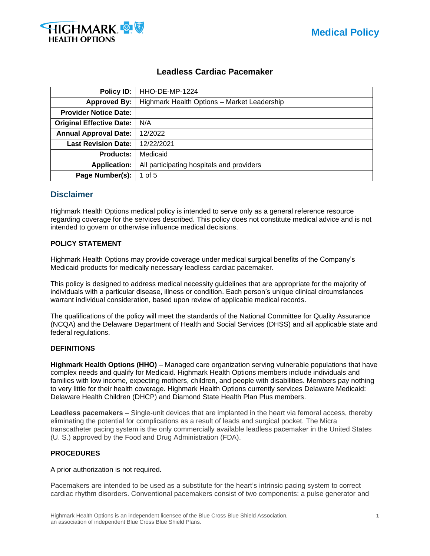



# **Leadless Cardiac Pacemaker**

| Policy ID:                      | HHO-DE-MP-1224                              |  |  |  |
|---------------------------------|---------------------------------------------|--|--|--|
| <b>Approved By:</b>             | Highmark Health Options - Market Leadership |  |  |  |
| <b>Provider Notice Date:</b>    |                                             |  |  |  |
| <b>Original Effective Date:</b> | N/A                                         |  |  |  |
| <b>Annual Approval Date:</b>    | 12/2022                                     |  |  |  |
| <b>Last Revision Date:</b>      | 12/22/2021                                  |  |  |  |
| <b>Products:</b>                | Medicaid                                    |  |  |  |
| <b>Application:</b>             | All participating hospitals and providers   |  |  |  |
| Page Number(s):                 | 1 of 5                                      |  |  |  |

## **Disclaimer**

Highmark Health Options medical policy is intended to serve only as a general reference resource regarding coverage for the services described. This policy does not constitute medical advice and is not intended to govern or otherwise influence medical decisions.

### **POLICY STATEMENT**

Highmark Health Options may provide coverage under medical surgical benefits of the Company's Medicaid products for medically necessary leadless cardiac pacemaker.

This policy is designed to address medical necessity guidelines that are appropriate for the majority of individuals with a particular disease, illness or condition. Each person's unique clinical circumstances warrant individual consideration, based upon review of applicable medical records.

The qualifications of the policy will meet the standards of the National Committee for Quality Assurance (NCQA) and the Delaware Department of Health and Social Services (DHSS) and all applicable state and federal regulations.

### **DEFINITIONS**

**Highmark Health Options (HHO)** – Managed care organization serving vulnerable populations that have complex needs and qualify for Medicaid. Highmark Health Options members include individuals and families with low income, expecting mothers, children, and people with disabilities. Members pay nothing to very little for their health coverage. Highmark Health Options currently services Delaware Medicaid: Delaware Health Children (DHCP) and Diamond State Health Plan Plus members.

**Leadless pacemakers** – Single-unit devices that are implanted in the heart via femoral access, thereby eliminating the potential for complications as a result of leads and surgical pocket. The Micra transcatheter pacing system is the only commercially available leadless pacemaker in the United States (U. S.) approved by the Food and Drug Administration (FDA).

### **PROCEDURES**

A prior authorization is not required.

Pacemakers are intended to be used as a substitute for the heart's intrinsic pacing system to correct cardiac rhythm disorders. Conventional pacemakers consist of two components: a pulse generator and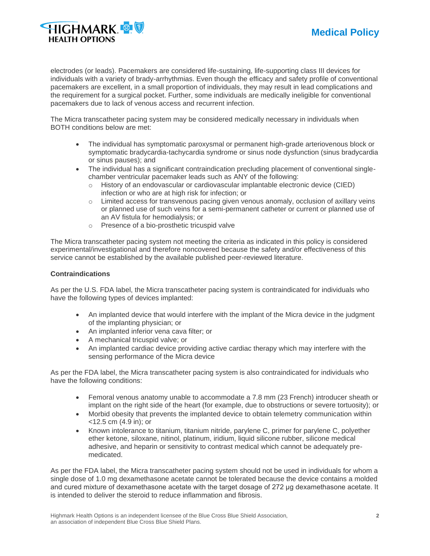



electrodes (or leads). Pacemakers are considered life-sustaining, life-supporting class III devices for individuals with a variety of brady-arrhythmias. Even though the efficacy and safety profile of conventional pacemakers are excellent, in a small proportion of individuals, they may result in lead complications and the requirement for a surgical pocket. Further, some individuals are medically ineligible for conventional pacemakers due to lack of venous access and recurrent infection.

The Micra transcatheter pacing system may be considered medically necessary in individuals when BOTH conditions below are met:

- The individual has symptomatic paroxysmal or permanent high-grade arteriovenous block or symptomatic bradycardia-tachycardia syndrome or sinus node dysfunction (sinus bradycardia or sinus pauses); and
- The individual has a significant contraindication precluding placement of conventional singlechamber ventricular pacemaker leads such as ANY of the following:
	- o History of an endovascular or cardiovascular implantable electronic device (CIED) infection or who are at high risk for infection; or
	- o Limited access for transvenous pacing given venous anomaly, occlusion of axillary veins or planned use of such veins for a semi-permanent catheter or current or planned use of an AV fistula for hemodialysis; or
	- o Presence of a bio-prosthetic tricuspid valve

The Micra transcatheter pacing system not meeting the criteria as indicated in this policy is considered experimental/investigational and therefore noncovered because the safety and/or effectiveness of this service cannot be established by the available published peer-reviewed literature.

#### **Contraindications**

As per the U.S. FDA label, the Micra transcatheter pacing system is contraindicated for individuals who have the following types of devices implanted:

- An implanted device that would interfere with the implant of the Micra device in the judgment of the implanting physician; or
- An implanted inferior vena cava filter; or
- A mechanical tricuspid valve; or
- An implanted cardiac device providing active cardiac therapy which may interfere with the sensing performance of the Micra device

As per the FDA label, the Micra transcatheter pacing system is also contraindicated for individuals who have the following conditions:

- Femoral venous anatomy unable to accommodate a 7.8 mm (23 French) introducer sheath or implant on the right side of the heart (for example, due to obstructions or severe tortuosity); or
- Morbid obesity that prevents the implanted device to obtain telemetry communication within <12.5 cm (4.9 in); or
- Known intolerance to titanium, titanium nitride, parylene C, primer for parylene C, polyether ether ketone, siloxane, nitinol, platinum, iridium, liquid silicone rubber, silicone medical adhesive, and heparin or sensitivity to contrast medical which cannot be adequately premedicated.

As per the FDA label, the Micra transcatheter pacing system should not be used in individuals for whom a single dose of 1.0 mg dexamethasone acetate cannot be tolerated because the device contains a molded and cured mixture of dexamethasone acetate with the target dosage of 272 μg dexamethasone acetate. It is intended to deliver the steroid to reduce inflammation and fibrosis.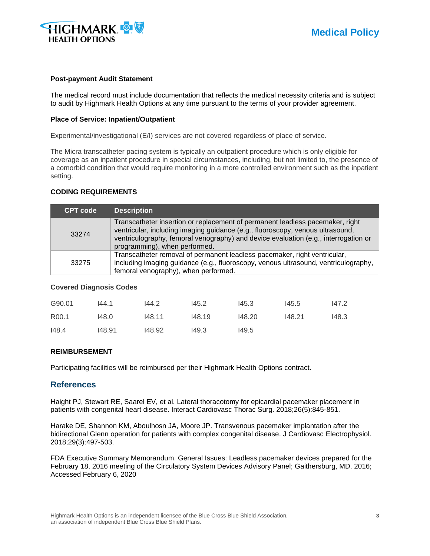

#### **Post-payment Audit Statement**

The medical record must include documentation that reflects the medical necessity criteria and is subject to audit by Highmark Health Options at any time pursuant to the terms of your provider agreement.

### **Place of Service: Inpatient/Outpatient**

Experimental/investigational (E/I) services are not covered regardless of place of service.

The Micra transcatheter pacing system is typically an outpatient procedure which is only eligible for coverage as an inpatient procedure in special circumstances, including, but not limited to, the presence of a comorbid condition that would require monitoring in a more controlled environment such as the inpatient setting.

#### **CODING REQUIREMENTS**

| <b>CPT</b> code                                                                                                                                                                                                   | <b>Description</b>                                                                                                                                                                                                                                                                      |  |
|-------------------------------------------------------------------------------------------------------------------------------------------------------------------------------------------------------------------|-----------------------------------------------------------------------------------------------------------------------------------------------------------------------------------------------------------------------------------------------------------------------------------------|--|
| 33274                                                                                                                                                                                                             | Transcatheter insertion or replacement of permanent leadless pacemaker, right<br>ventricular, including imaging guidance (e.g., fluoroscopy, venous ultrasound,<br>ventriculography, femoral venography) and device evaluation (e.g., interrogation or<br>programming), when performed. |  |
| Transcatheter removal of permanent leadless pacemaker, right ventricular,<br>including imaging guidance (e.g., fluoroscopy, venous ultrasound, ventriculography,<br>33275<br>femoral venography), when performed. |                                                                                                                                                                                                                                                                                         |  |

#### **Covered Diagnosis Codes**

| G90.01            | 144.1  | 144.2  | 145.2  | 145.3  | 145.5  | 147.2 |
|-------------------|--------|--------|--------|--------|--------|-------|
| R <sub>00.1</sub> | 148.0  | 148.11 | 148.19 | 148.20 | 148.21 | 148.3 |
| 148.4             | 148.91 | 148.92 | 149.3  | 149.5  |        |       |

### **REIMBURSEMENT**

Participating facilities will be reimbursed per their Highmark Health Options contract.

## **References**

Haight PJ, Stewart RE, Saarel EV, et al. Lateral thoracotomy for epicardial pacemaker placement in patients with congenital heart disease. Interact Cardiovasc Thorac Surg. 2018;26(5):845-851.

Harake DE, Shannon KM, Aboulhosn JA, Moore JP. Transvenous pacemaker implantation after the bidirectional Glenn operation for patients with complex congenital disease. J Cardiovasc Electrophysiol. 2018;29(3):497-503.

FDA Executive Summary Memorandum. General Issues: Leadless pacemaker devices prepared for the February 18, 2016 meeting of the Circulatory System Devices Advisory Panel; Gaithersburg, MD. 2016; Accessed February 6, 2020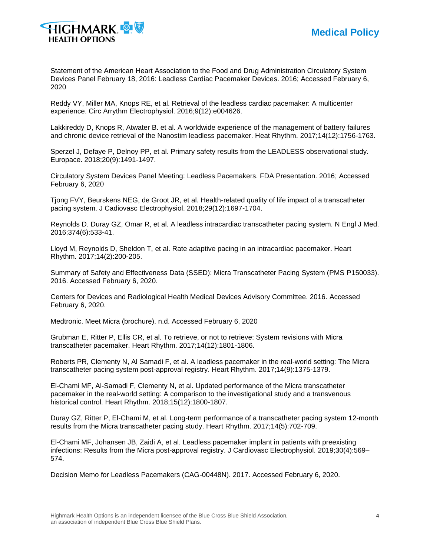

Statement of the American Heart Association to the Food and Drug Administration Circulatory System Devices Panel February 18, 2016: Leadless Cardiac Pacemaker Devices. 2016; Accessed February 6, 2020

Reddy VY, Miller MA, Knops RE, et al. Retrieval of the leadless cardiac pacemaker: A multicenter experience. Circ Arrythm Electrophysiol. 2016;9(12):e004626.

Lakkireddy D, Knops R, Atwater B. et al. A worldwide experience of the management of battery failures and chronic device retrieval of the Nanostim leadless pacemaker. Heat Rhythm. 2017;14(12):1756-1763.

Sperzel J, Defaye P, Delnoy PP, et al. Primary safety results from the LEADLESS observational study. Europace. 2018;20(9):1491-1497.

Circulatory System Devices Panel Meeting: Leadless Pacemakers. FDA Presentation. 2016; Accessed February 6, 2020

Tjong FVY, Beurskens NEG, de Groot JR, et al. Health-related quality of life impact of a transcatheter pacing system. J Cadiovasc Electrophysiol. 2018;29(12):1697-1704.

Reynolds D. Duray GZ, Omar R, et al. A leadless intracardiac transcatheter pacing system. N Engl J Med. 2016;374(6):533-41.

Lloyd M, Reynolds D, Sheldon T, et al. Rate adaptive pacing in an intracardiac pacemaker. Heart Rhythm. 2017;14(2):200-205.

Summary of Safety and Effectiveness Data (SSED): Micra Transcatheter Pacing System (PMS P150033). 2016. Accessed February 6, 2020.

Centers for Devices and Radiological Health Medical Devices Advisory Committee. 2016. Accessed February 6, 2020.

Medtronic. Meet Micra (brochure). n.d. Accessed February 6, 2020

Grubman E, Ritter P, Ellis CR, et al. To retrieve, or not to retrieve: System revisions with Micra transcatheter pacemaker. Heart Rhythm. 2017;14(12):1801-1806.

Roberts PR, Clementy N, Al Samadi F, et al. A leadless pacemaker in the real-world setting: The Micra transcatheter pacing system post-approval registry. Heart Rhythm. 2017;14(9):1375-1379.

El-Chami MF, Al-Samadi F, Clementy N, et al. Updated performance of the Micra transcatheter pacemaker in the real-world setting: A comparison to the investigational study and a transvenous historical control. Heart Rhythm. 2018;15(12):1800-1807.

Duray GZ, Ritter P, El-Chami M, et al. Long-term performance of a transcatheter pacing system 12-month results from the Micra transcatheter pacing study. Heart Rhythm. 2017;14(5):702-709.

El-Chami MF, Johansen JB, Zaidi A, et al. Leadless pacemaker implant in patients with preexisting infections: Results from the Micra post-approval registry. J Cardiovasc Electrophysiol. 2019;30(4):569– 574.

Decision Memo for Leadless Pacemakers (CAG-00448N). 2017. Accessed February 6, 2020.